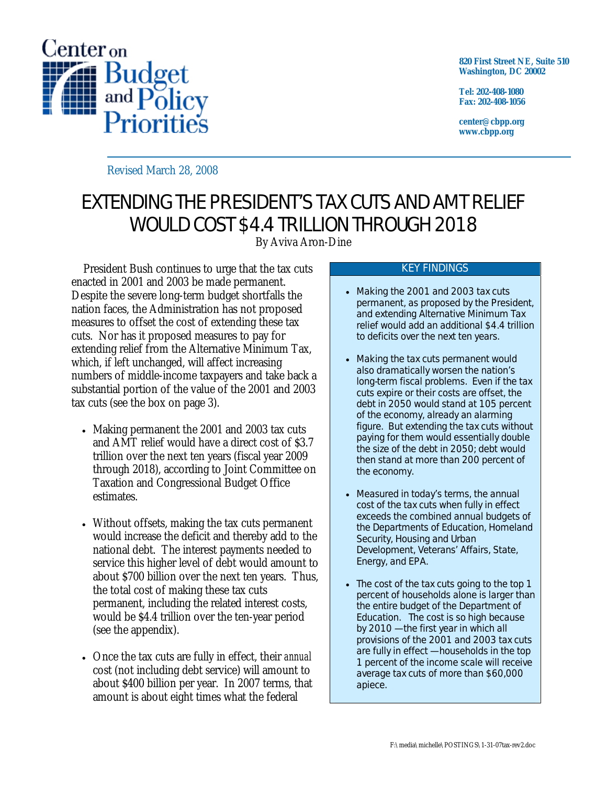

**820 First Street NE, Suite 510 Washington, DC 20002** 

**Tel: 202-408-1080 Fax: 202-408-1056** 

**center@cbpp.org www.cbpp.org** 

Revised March 28, 2008

# EXTENDING THE PRESIDENT'S TAX CUTS AND AMT RELIEF WOULD COST \$4.4 TRILLION THROUGH 2018

By Aviva Aron-Dine

President Bush continues to urge that the tax cuts enacted in 2001 and 2003 be made permanent. Despite the severe long-term budget shortfalls the nation faces, the Administration has not proposed measures to offset the cost of extending these tax cuts. Nor has it proposed measures to pay for extending relief from the Alternative Minimum Tax, which, if left unchanged, will affect increasing numbers of middle-income taxpayers and take back a substantial portion of the value of the 2001 and 2003 tax cuts (see the box on page 3).

- Making permanent the 2001 and 2003 tax cuts and AMT relief would have a direct cost of \$3.7 trillion over the next ten years (fiscal year 2009 through 2018), according to Joint Committee on Taxation and Congressional Budget Office estimates.
- Without offsets, making the tax cuts permanent would increase the deficit and thereby add to the national debt. The interest payments needed to service this higher level of debt would amount to about \$700 billion over the next ten years. Thus, the total cost of making these tax cuts permanent, including the related interest costs, would be \$4.4 trillion over the ten-year period (see the appendix).
- Once the tax cuts are fully in effect, their *annual* cost (not including debt service) will amount to about \$400 billion per year. In 2007 terms, that amount is about eight times what the federal

#### KEY FINDINGS

- Making the 2001 and 2003 tax cuts permanent, as proposed by the President, and extending Alternative Minimum Tax relief would add an additional \$4.4 trillion to deficits over the next ten years.
- Making the tax cuts permanent would also dramatically worsen the nation's long-term fiscal problems. Even if the tax cuts expire or their costs are offset, the debt in 2050 would stand at 105 percent of the economy, already an alarming figure. But extending the tax cuts without paying for them would essentially *double* the size of the debt in 2050; debt would then stand at more than 200 percent of the economy.
- Measured in today's terms, the annual cost of the tax cuts when fully in effect exceeds the *combined* annual budgets of the Departments of Education, Homeland Security, Housing and Urban Development, Veterans' Affairs, State, Energy, and EPA.
- The cost of the tax cuts going to the top 1 percent of households alone is larger than the entire budget of the Department of Education. The cost is so high because by 2010 — the first year in which all provisions of the 2001 and 2003 tax cuts are fully in effect — households in the top 1 percent of the income scale will receive average tax cuts of more than \$60,000 apiece.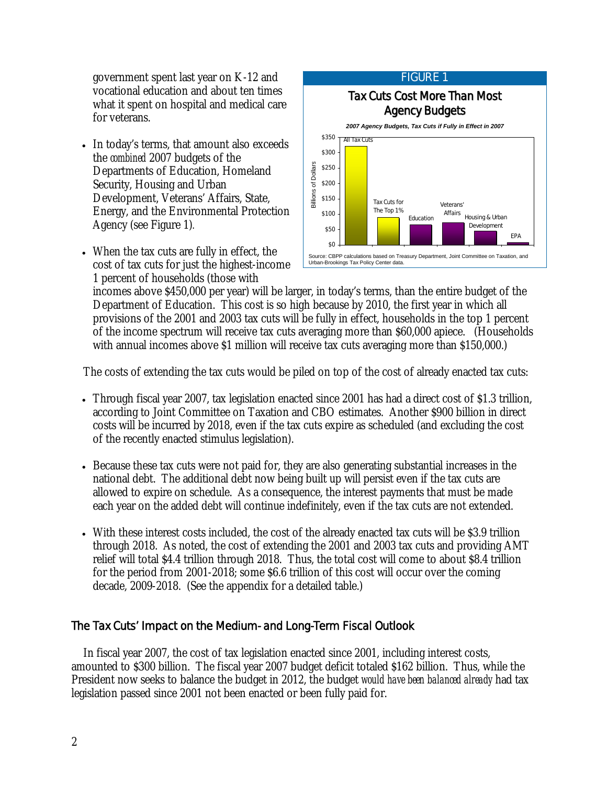government spent last year on K-12 and vocational education and about ten times what it spent on hospital and medical care for veterans.

- In today's terms, that amount also exceeds the *combined* 2007 budgets of the Departments of Education, Homeland Security, Housing and Urban Development, Veterans' Affairs, State, Energy, and the Environmental Protection Agency (see Figure 1)*.*
- When the tax cuts are fully in effect, the cost of tax cuts for just the highest-income 1 percent of households (those with



incomes above \$450,000 per year) will be larger, in today's terms, than the entire budget of the Department of Education. This cost is so high because by 2010, the first year in which all provisions of the 2001 and 2003 tax cuts will be fully in effect, households in the top 1 percent of the income spectrum will receive tax cuts averaging more than \$60,000 apiece. (Households with annual incomes above \$1 million will receive tax cuts averaging more than \$150,000.

The costs of extending the tax cuts would be piled on top of the cost of already enacted tax cuts:

- Through fiscal year 2007, tax legislation enacted since 2001 has had a direct cost of \$1.3 trillion, according to Joint Committee on Taxation and CBO estimates. Another \$900 billion in direct costs will be incurred by 2018, even if the tax cuts expire as scheduled (and excluding the cost of the recently enacted stimulus legislation).
- Because these tax cuts were not paid for, they are also generating substantial increases in the national debt. The additional debt now being built up will persist even if the tax cuts are allowed to expire on schedule. As a consequence, the interest payments that must be made each year on the added debt will continue indefinitely, even if the tax cuts are not extended.
- With these interest costs included, the cost of the already enacted tax cuts will be \$3.9 trillion through 2018. As noted, the cost of extending the 2001 and 2003 tax cuts and providing AMT relief will total \$4.4 trillion through 2018. Thus, the total cost will come to about \$8.4 trillion for the period from 2001-2018; some \$6.6 trillion of this cost will occur over the coming decade, 2009-2018. (See the appendix for a detailed table.)

## The Tax Cuts' Impact on the Medium- and Long-Term Fiscal Outlook

In fiscal year 2007, the cost of tax legislation enacted since 2001, including interest costs, amounted to \$300 billion. The fiscal year 2007 budget deficit totaled \$162 billion. Thus, while the President now seeks to balance the budget in 2012, the budget *would have been balanced already* had tax legislation passed since 2001 not been enacted or been fully paid for.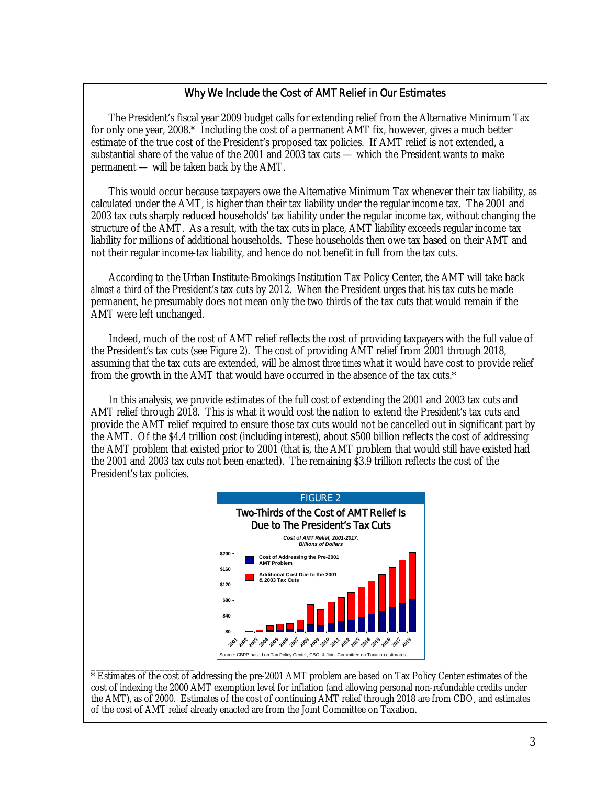#### Why We Include the Cost of AMT Relief in Our Estimates

The President's fiscal year 2009 budget calls for extending relief from the Alternative Minimum Tax for only one year, 2008.\* Including the cost of a permanent AMT fix, however, gives a much better estimate of the true cost of the President's proposed tax policies. If AMT relief is not extended, a substantial share of the value of the 2001 and 2003 tax cuts — which the President wants to make permanent — will be taken back by the AMT.

This would occur because taxpayers owe the Alternative Minimum Tax whenever their tax liability, as calculated under the AMT, is higher than their tax liability under the regular income tax. The 2001 and 2003 tax cuts sharply reduced households' tax liability under the regular income tax, without changing the structure of the AMT. As a result, with the tax cuts in place, AMT liability exceeds regular income tax liability for millions of additional households. These households then owe tax based on their AMT and not their regular income-tax liability, and hence do not benefit in full from the tax cuts.

According to the Urban Institute-Brookings Institution Tax Policy Center, the AMT will take back *almost a third* of the President's tax cuts by 2012. When the President urges that his tax cuts be made permanent, he presumably does not mean only the two thirds of the tax cuts that would remain if the AMT were left unchanged.

Indeed, much of the cost of AMT relief reflects the cost of providing taxpayers with the full value of the President's tax cuts (see Figure 2). The cost of providing AMT relief from 2001 through 2018, assuming that the tax cuts are extended, will be almost *three times* what it would have cost to provide relief from the growth in the AMT that would have occurred in the absence of the tax cuts.\*

In this analysis, we provide estimates of the full cost of extending the 2001 and 2003 tax cuts and AMT relief through 2018. This is what it would cost the nation to extend the President's tax cuts and provide the AMT relief required to ensure those tax cuts would not be cancelled out in significant part by the AMT. Of the \$4.4 trillion cost (including interest), about \$500 billion reflects the cost of addressing the AMT problem that existed prior to 2001 (that is, the AMT problem that would still have existed had the 2001 and 2003 tax cuts not been enacted). The remaining \$3.9 trillion reflects the cost of the President's tax policies.



\_\_\_\_\_\_\_\_\_\_\_\_\_\_\_\_\_\_\_\_\_ \* Estimates of the cost of addressing the pre-2001 AMT problem are based on Tax Policy Center estimates of the cost of indexing the 2000 AMT exemption level for inflation (and allowing personal non-refundable credits under the AMT), as of 2000. Estimates of the cost of continuing AMT relief through 2018 are from CBO, and estimates of the cost of AMT relief already enacted are from the Joint Committee on Taxation.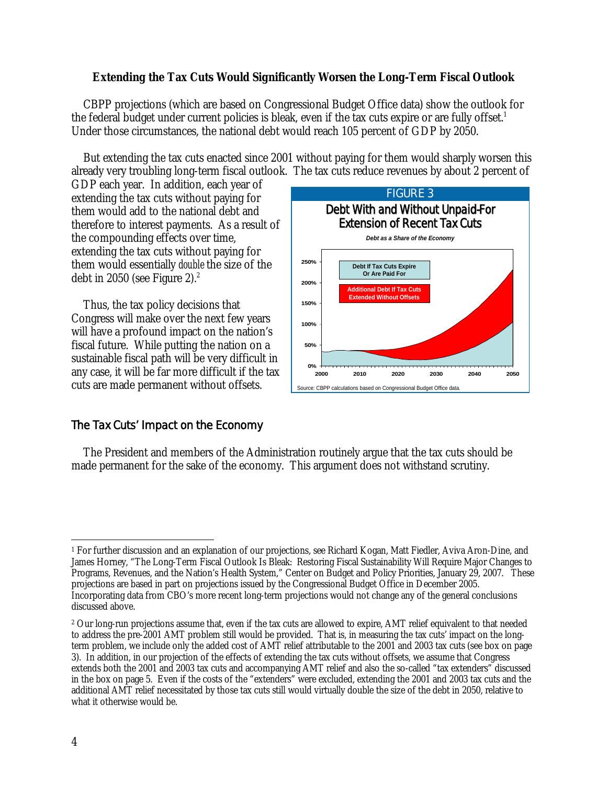### **Extending the Tax Cuts Would Significantly Worsen the Long-Term Fiscal Outlook**

CBPP projections (which are based on Congressional Budget Office data) show the outlook for the federal budget under current policies is bleak, even if the tax cuts expire or are fully offset.<sup>1</sup> Under those circumstances, the national debt would reach 105 percent of GDP by 2050.

But extending the tax cuts enacted since 2001 without paying for them would sharply worsen this already very troubling long-term fiscal outlook. The tax cuts reduce revenues by about 2 percent of

GDP each year. In addition, each year of extending the tax cuts without paying for them would add to the national debt and therefore to interest payments. As a result of the compounding effects over time, extending the tax cuts without paying for them would essentially *double* the size of the debt in 2050 (see Figure 2). $2$ 

Thus, the tax policy decisions that Congress will make over the next few years will have a profound impact on the nation's fiscal future. While putting the nation on a sustainable fiscal path will be very difficult in any case, it will be far more difficult if the tax cuts are made permanent without offsets.



## The Tax Cuts' Impact on the Economy

The President and members of the Administration routinely argue that the tax cuts should be made permanent for the sake of the economy. This argument does not withstand scrutiny.

 $\overline{a}$ <sup>1</sup> For further discussion and an explanation of our projections, see Richard Kogan, Matt Fiedler, Aviva Aron-Dine, and James Horney, "The Long-Term Fiscal Outlook Is Bleak: Restoring Fiscal Sustainability Will Require Major Changes to Programs, Revenues, and the Nation's Health System," Center on Budget and Policy Priorities, January 29, 2007. These projections are based in part on projections issued by the Congressional Budget Office in December 2005. Incorporating data from CBO's more recent long-term projections would not change any of the general conclusions discussed above.

<sup>&</sup>lt;sup>2</sup> Our long-run projections assume that, even if the tax cuts are allowed to expire, AMT relief equivalent to that needed to address the pre-2001 AMT problem still would be provided. That is, in measuring the tax cuts' impact on the longterm problem, we include only the added cost of AMT relief attributable to the 2001 and 2003 tax cuts (see box on page 3). In addition, in our projection of the effects of extending the tax cuts without offsets, we assume that Congress extends both the 2001 and 2003 tax cuts and accompanying AMT relief and also the so-called "tax extenders" discussed in the box on page 5. Even if the costs of the "extenders" were excluded, extending the 2001 and 2003 tax cuts and the additional AMT relief necessitated by those tax cuts still would virtually double the size of the debt in 2050, relative to what it otherwise would be.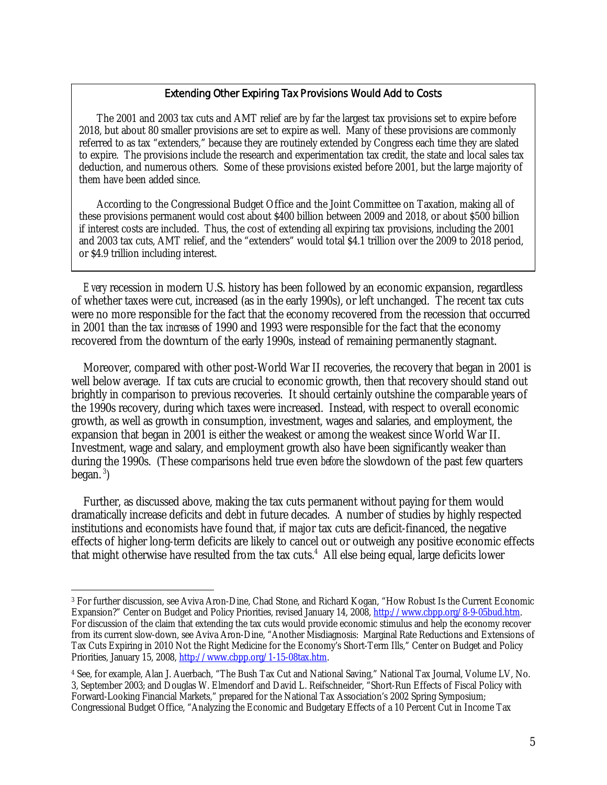#### Extending Other Expiring Tax Provisions Would Add to Costs

The 2001 and 2003 tax cuts and AMT relief are by far the largest tax provisions set to expire before 2018, but about 80 smaller provisions are set to expire as well. Many of these provisions are commonly referred to as tax "extenders," because they are routinely extended by Congress each time they are slated to expire. The provisions include the research and experimentation tax credit, the state and local sales tax deduction, and numerous others. Some of these provisions existed before 2001, but the large majority of them have been added since.

According to the Congressional Budget Office and the Joint Committee on Taxation, making all of these provisions permanent would cost about \$400 billion between 2009 and 2018, or about \$500 billion if interest costs are included. Thus, the cost of extending all expiring tax provisions, including the 2001 and 2003 tax cuts, AMT relief, and the "extenders" would total \$4.1 trillion over the 2009 to 2018 period, or \$4.9 trillion including interest.

*Every* recession in modern U.S. history has been followed by an economic expansion, regardless of whether taxes were cut, increased (as in the early 1990s), or left unchanged. The recent tax cuts were no more responsible for the fact that the economy recovered from the recession that occurred in 2001 than the tax *increases* of 1990 and 1993 were responsible for the fact that the economy recovered from the downturn of the early 1990s, instead of remaining permanently stagnant.

Moreover, compared with other post-World War II recoveries, the recovery that began in 2001 is well below average. If tax cuts are crucial to economic growth, then that recovery should stand out brightly in comparison to previous recoveries. It should certainly outshine the comparable years of the 1990s recovery, during which taxes were increased. Instead, with respect to overall economic growth, as well as growth in consumption, investment, wages and salaries, and employment, the expansion that began in 2001 is either the weakest or among the weakest since World War II. Investment, wage and salary, and employment growth also have been significantly weaker than during the 1990s. (These comparisons held true even *before* the slowdown of the past few quarters began. $3$ )

Further, as discussed above, making the tax cuts permanent without paying for them would dramatically increase deficits and debt in future decades. A number of studies by highly respected institutions and economists have found that, if major tax cuts are deficit-financed, the negative effects of higher long-term deficits are likely to cancel out or outweigh any positive economic effects that might otherwise have resulted from the tax cuts.<sup>4</sup> All else being equal, large deficits lower

 $\overline{a}$ 

<sup>3</sup> For further discussion, see Aviva Aron-Dine, Chad Stone, and Richard Kogan, "How Robust Is the Current Economic Expansion?" Center on Budget and Policy Priorities, revised January 14, 2008, http://www.cbpp.org/8-9-05bud.htm. For discussion of the claim that extending the tax cuts would provide economic stimulus and help the economy recover from its current slow-down, see Aviva Aron-Dine, "Another Misdiagnosis: Marginal Rate Reductions and Extensions of Tax Cuts Expiring in 2010 Not the Right Medicine for the Economy's Short-Term Ills," Center on Budget and Policy Priorities, January 15, 2008, http://www.cbpp.org/1-15-08tax.htm.

<sup>4</sup> See, for example, Alan J. Auerbach, "The Bush Tax Cut and National Saving," National Tax Journal, Volume LV, No. 3, September 2003; and Douglas W. Elmendorf and David L. Reifschneider, "Short-Run Effects of Fiscal Policy with Forward-Looking Financial Markets," prepared for the National Tax Association's 2002 Spring Symposium; Congressional Budget Office, "Analyzing the Economic and Budgetary Effects of a 10 Percent Cut in Income Tax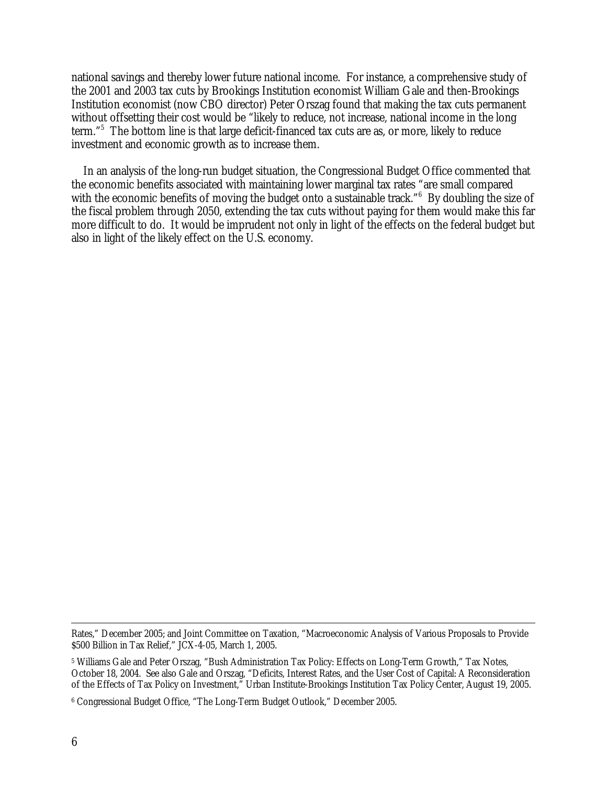national savings and thereby lower future national income. For instance, a comprehensive study of the 2001 and 2003 tax cuts by Brookings Institution economist William Gale and then-Brookings Institution economist (now CBO director) Peter Orszag found that making the tax cuts permanent without offsetting their cost would be "likely to reduce, not increase, national income in the long term."<sup>5</sup> The bottom line is that large deficit-financed tax cuts are as, or more, likely to reduce investment and economic growth as to increase them.

In an analysis of the long-run budget situation, the Congressional Budget Office commented that the economic benefits associated with maintaining lower marginal tax rates "are small compared with the economic benefits of moving the budget onto a sustainable track."<sup>6</sup> By doubling the size of the fiscal problem through 2050, extending the tax cuts without paying for them would make this far more difficult to do. It would be imprudent not only in light of the effects on the federal budget but also in light of the likely effect on the U.S. economy.

Rates," December 2005; and Joint Committee on Taxation, "Macroeconomic Analysis of Various Proposals to Provide \$500 Billion in Tax Relief," JCX-4-05, March 1, 2005.

<sup>5</sup> Williams Gale and Peter Orszag, "Bush Administration Tax Policy: Effects on Long-Term Growth," Tax Notes, October 18, 2004. See also Gale and Orszag, "Deficits, Interest Rates, and the User Cost of Capital: A Reconsideration of the Effects of Tax Policy on Investment," Urban Institute-Brookings Institution Tax Policy Center, August 19, 2005.

<sup>6</sup> Congressional Budget Office, "The Long-Term Budget Outlook," December 2005.